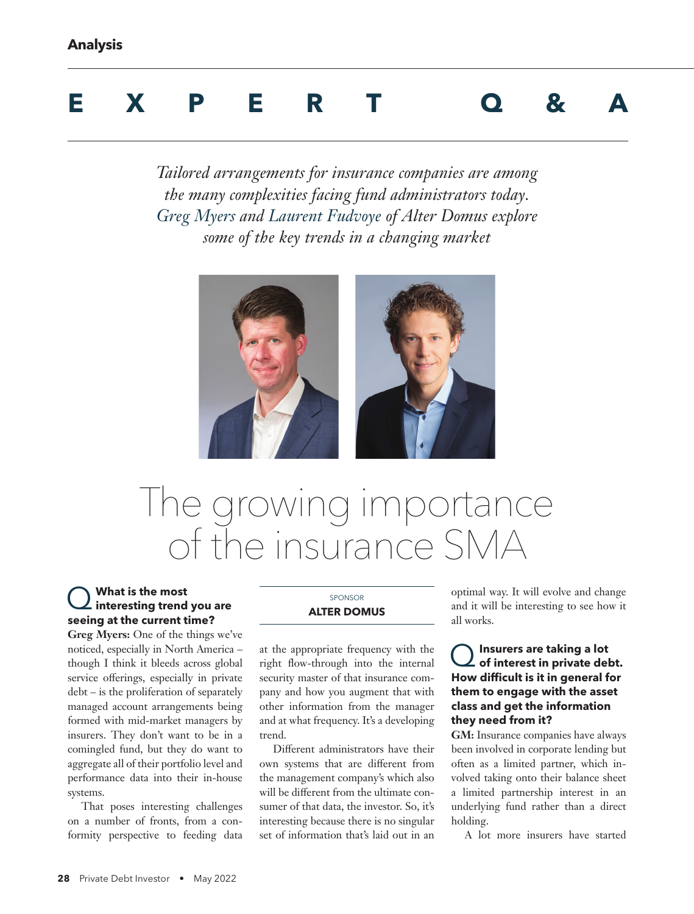# **EXPERT Q&A**

*Tailored arrangements for insurance companies are among the many complexities facing fund administrators today. Greg Myers and Laurent Fudvoye of Alter Domus explore some of the key trends in a changing market*



# The growing importance of the insurance SMA

### Q **What is the most interesting trend you are seeing at the current time?**

**Greg Myers:** One of the things we've noticed, especially in North America – though I think it bleeds across global service offerings, especially in private debt – is the proliferation of separately managed account arrangements being formed with mid-market managers by insurers. They don't want to be in a comingled fund, but they do want to aggregate all of their portfolio level and performance data into their in-house systems.

That poses interesting challenges on a number of fronts, from a conformity perspective to feeding data

#### SPONSOR **ALTER DOMUS**

at the appropriate frequency with the right flow-through into the internal security master of that insurance company and how you augment that with other information from the manager and at what frequency. It's a developing trend.

Different administrators have their own systems that are different from the management company's which also will be different from the ultimate consumer of that data, the investor. So, it's interesting because there is no singular set of information that's laid out in an optimal way. It will evolve and change and it will be interesting to see how it all works.

#### Q**Insurers are taking a lot of interest in private debt. How difficult is it in general for them to engage with the asset class and get the information they need from it?**

**GM:** Insurance companies have always been involved in corporate lending but often as a limited partner, which involved taking onto their balance sheet a limited partnership interest in an underlying fund rather than a direct holding.

A lot more insurers have started